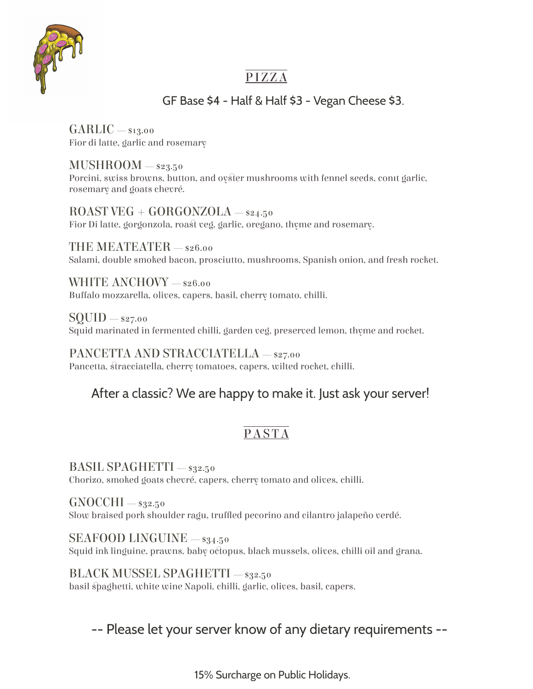

## PIZZA

#### GF Base \$4 - Half & Half \$3 - Vegan Cheese \$3.

GARLIC — \$13.00 Fior di latte, garlic and rosemary

 $MUSHROOM = $23.50$ Porcini, swiss browns, button, and oyster mushrooms with fennel seeds, conit garlic, rosemary and goats chevré.

 $ROAST VEG + GORGONZOLA - $24.50$ Fior Di latte, gorgonzola, roast veg, garlic, oregano, thyme and rosemary.

THE MEATEATER — \$26.00 Salami, double smoked bacon, prosciutto, mushrooms, Spanish onion, and fresh rocket.

WHITE ANCHOVY - \$26.00 Buffalo mozzarella, olives, capers, basil, cherry tomato, chilli.

 $\text{SOUND} =$ \$27.00 Squid marinated in fermented chilli, garden veg, preserved lemon, thyme and rocket.

PANCETTA AND STRACCIATELLA — \$27.00 Pancetta, stracciatella, cherry tomatoes, capers, wilted rocket, chilli.

### After a classic? We are happy to make it. Just ask your server!

# PASTA

BASIL SPAGHETTI — \$32.50 Chorizo, smoked goats chevré, capers, cherry tomato and olives, chilli.

 $GNOCCHI - s<sub>32.50</sub>$ Slow braised pork shoulder ragu, truffled pecorino and cilantro jalapeño verdé.

SEAFOOD LINGUINE  $-$  \$34.50 Squid ink linguine, prawns, baby octopus, black mussels, olives, chilli oil and grana.

BLACK MUSSEL SPAGHETTI — \$32.50 basil spaghetti, white wine Napoli, chilli, garlic, olives, basil, capers.

# -- Please let your server know of any dietary requirements --

15% Surcharge on Public Holidays.